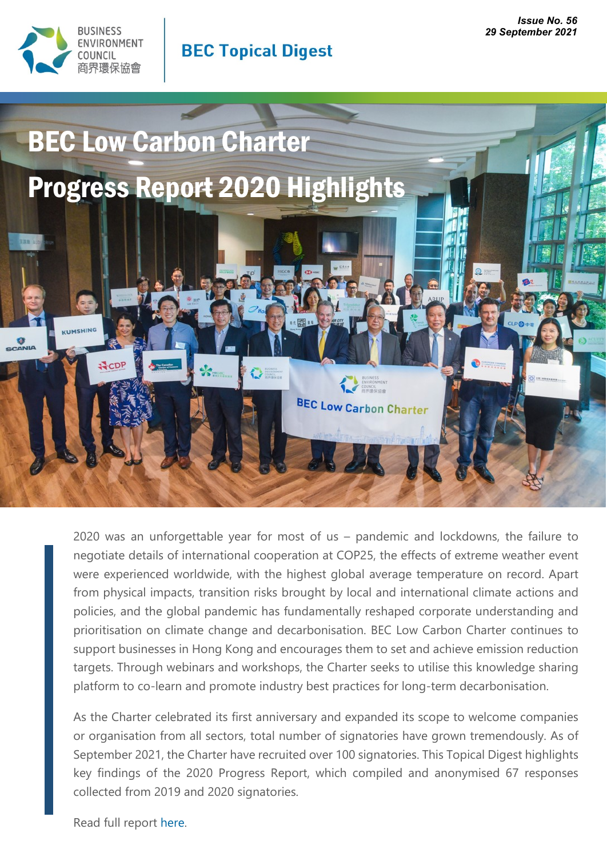



# **BEC Topical Digest**



2020 was an unforgettable year for most of us – pandemic and lockdowns, the failure to negotiate details of international cooperation at COP25, the effects of extreme weather event were experienced worldwide, with the highest global average temperature on record. Apart from physical impacts, transition risks brought by local and international climate actions and policies, and the global pandemic has fundamentally reshaped corporate understanding and prioritisation on climate change and decarbonisation. BEC Low Carbon Charter continues to support businesses in Hong Kong and encourages them to set and achieve emission reduction targets. Through webinars and workshops, the Charter seeks to utilise this knowledge sharing platform to co-learn and promote industry best practices for long-term decarbonisation.

As the Charter celebrated its first anniversary and expanded its scope to welcome companies or organisation from all sectors, total number of signatories have grown tremendously. As of September 2021, the Charter have recruited over 100 signatories. This Topical Digest highlights key findings of the 2020 Progress Report, which compiled and anonymised 67 responses collected from 2019 and 2020 signatories.

Read full report [here.](https://bec.org.hk/sites/default/files/publications/LCC_Progress_Report_2020.pdf)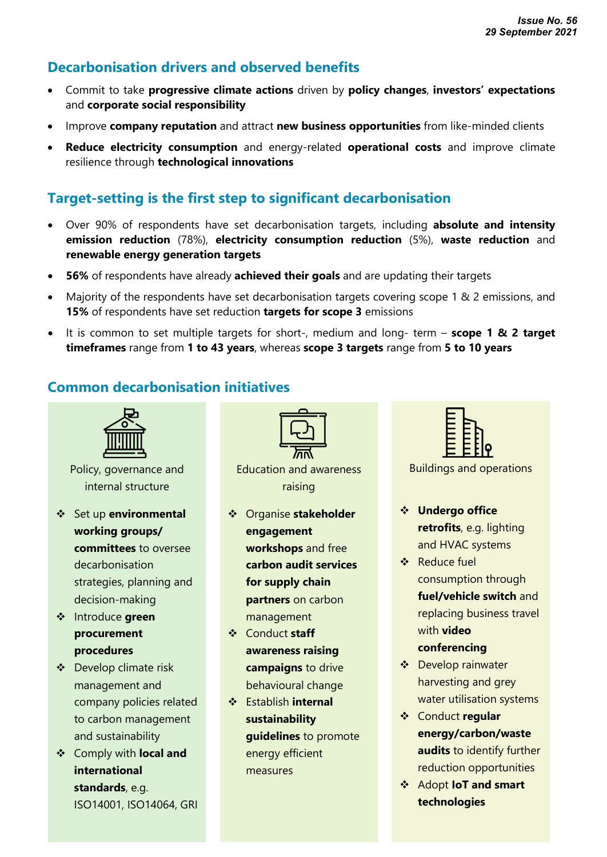### **Decarbonisation drivers and observed benefits**

- Commit to take **progressive climate actions** driven by **policy changes**, **investors' expectations** and **corporate social responsibility**
- Improve **company reputation** and attract **new business opportunities** from like-minded clients
- **Reduce electricity consumption** and energy-related **operational costs** and improve climate resilience through **technological innovations**

## **Target-setting is the first step to significant decarbonisation**

- Over 90% of respondents have set decarbonisation targets, including **absolute and intensity emission reduction** (78%), **electricity consumption reduction** (5%), **waste reduction** and **renewable energy generation targets**
- **56%** of respondents have already **achieved their goals** and are updating their targets
- Majority of the respondents have set decarbonisation targets covering scope 1 & 2 emissions, and **15%** of respondents have set reduction **targets for scope 3** emissions
- It is common to set multiple targets for short-, medium and long- term **scope 1 & 2 target timeframes** range from **1 to 43 years**, whereas **scope 3 targets** range from **5 to 10 years**

### **Common decarbonisation initiatives**



Policy, governance and internal structure

- Set up **environmental working groups/ committees** to oversee decarbonisation strategies, planning and decision-making
- Introduce **green procurement procedures**
- Develop climate risk management and company policies related to carbon management and sustainability
- Comply with **local and international standards**, e.g. ISO14001, ISO14064, GRI



Education and awareness raising

- Organise **stakeholder engagement workshops** and free **carbon audit services for supply chain partners** on carbon management
- Conduct **staff awareness raising campaigns** to drive behavioural change
- Establish **internal sustainability guidelines** to promote energy efficient measures



Buildings and operations

- **Undergo office retrofits**, e.g. lighting and HVAC systems
- ❖ Reduce fuel consumption through **fuel/vehicle switch** and replacing business travel with **video**

#### **conferencing**

- Develop rainwater harvesting and grey water utilisation systems
- Conduct **regular energy/carbon/waste audits** to identify further reduction opportunities
- Adopt **IoT and smart technologies**